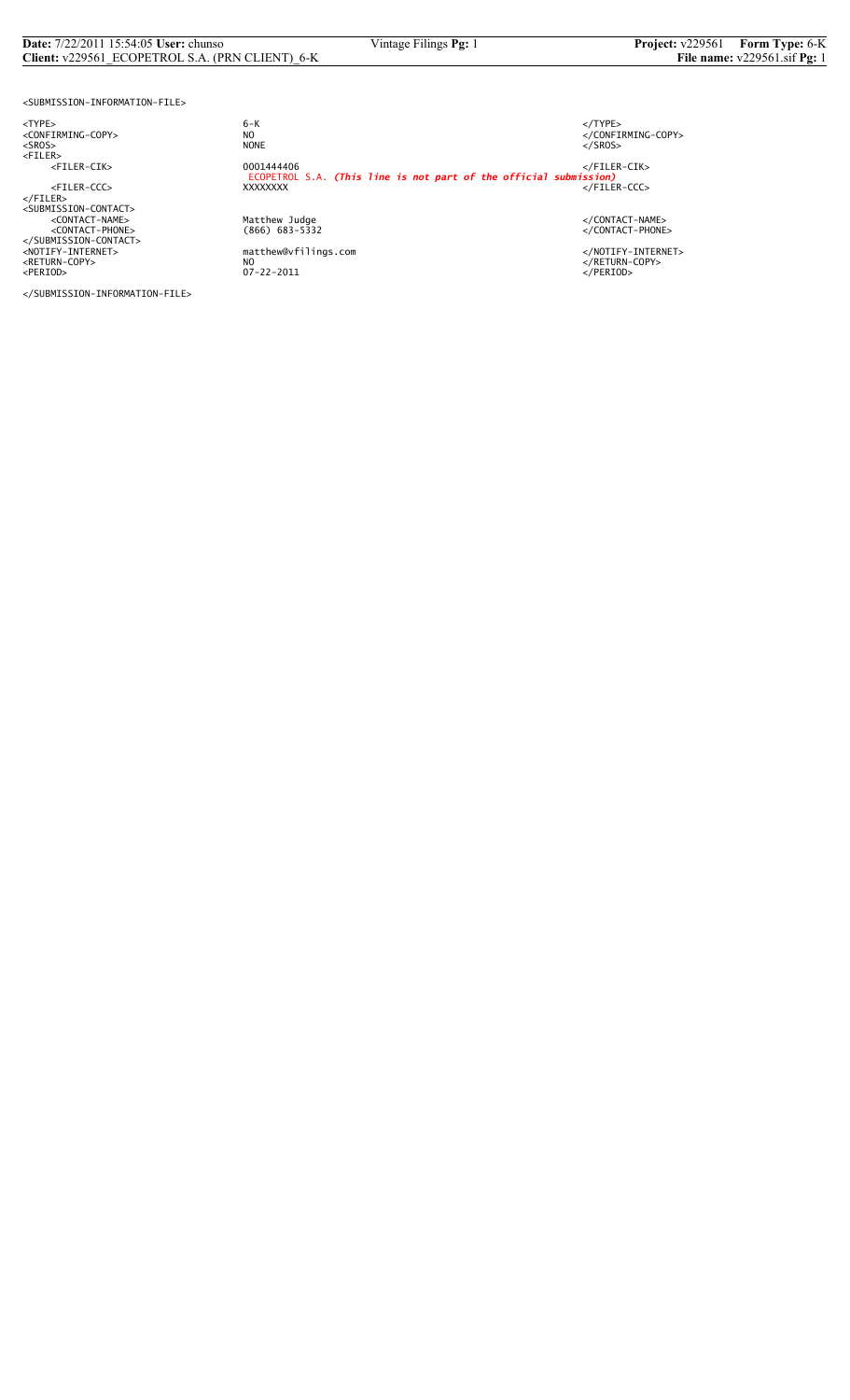# **Date:** 7/22/2011 15:54:05 **User:** chunso Vintage Filings **Pg:** 1 **Project:** v229561 **Form Type:** 6-K<br>**Client:** v229561\_ECOPETROL S.A. (PRN CLIENT)\_6-K **File name:** v229561 sif **Pg:** 1 **Client:** v229561\_ECOPETROL S.A. (PRN CLIENT)\_6-K

<SUBMISSION-INFORMATION-FILE>

<TYPE> 6-K </TYPE>

</SUBMISSION-INFORMATION-FILE>

 $6 - K$ NO<br>
NO<br>
NONE<br>
NONE<br>
NONE<br>
S/SROS> <SROS> NONE </SROS> <FILER> <FILER-CIK> 0001444406 </FILER-CIK> ECOPETROL S.A. *(This line is not part of the official submission)* <FILER-CCC> XXXXXXXX </FILER-CCC> </FILER> <SUBMISSION-CONTACT> <CONTACT-NAME> Matthew Judge </CONTACT-NAME> <CONTACT-PHONE> (866) 683-5332 </CONTACT-PHONE> </SUBMISSION-CONTACT> <NOTIFY-INTERNET> matthew@vfilings.com </NOTIFY-INTERNET> <RETURN-COPY> NO </RETURN-COPY> <PERIOD> 07-22-2011 </PERIOD>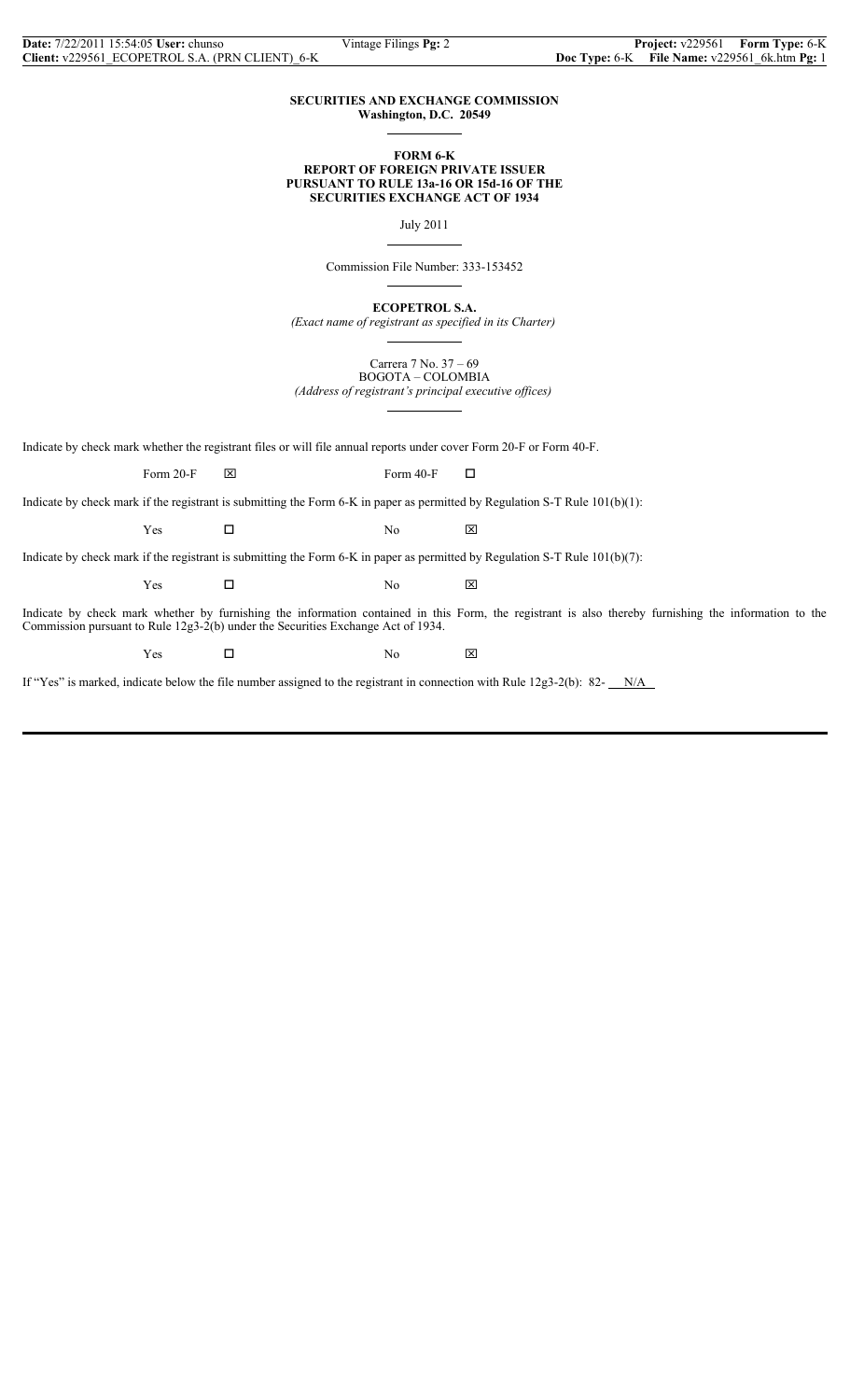#### **SECURITIES AND EXCHANGE COMMISSION Washington, D.C. 20549**

 $\overline{a}$ 

 $\overline{a}$ 

 $\overline{a}$ 

#### **FORM 6-K REPORT OF FOREIGN PRIVATE ISSUER PURSUANT TO RULE 13a-16 OR 15d-16 OF THE SECURITIES EXCHANGE ACT OF 1934**

July 2011

Commission File Number: 333-153452

**ECOPETROL S.A.**

*(Exact name of registrant as specified in its Charter)*  $\overline{a}$ 

> Carrera 7 No. 37 – 69 BOGOTA – COLOMBIA

*(Address of registrant's principal executive offices)*  $\overline{a}$ 

Indicate by check mark whether the registrant files or will file annual reports under cover Form 20-F or Form 40-F.

Form 20-F  $\boxtimes$  Form 40-F  $\Box$ 

Indicate by check mark if the registrant is submitting the Form 6-K in paper as permitted by Regulation S-T Rule 101(b)(1):

 $Yes$   $\square$  No  $\boxtimes$ 

Indicate by check mark if the registrant is submitting the Form 6-K in paper as permitted by Regulation S-T Rule 101(b)(7):

 $Yes$   $\square$  No  $\boxtimes$ 

Indicate by check mark whether by furnishing the information contained in this Form, the registrant is also thereby furnishing the information to the Commission pursuant to Rule 12g3-2(b) under the Securities Exchange Act of 1934.

Yes □ No ⊠

If "Yes" is marked, indicate below the file number assigned to the registrant in connection with Rule  $12g3-2(b)$ : 82-  $N/A$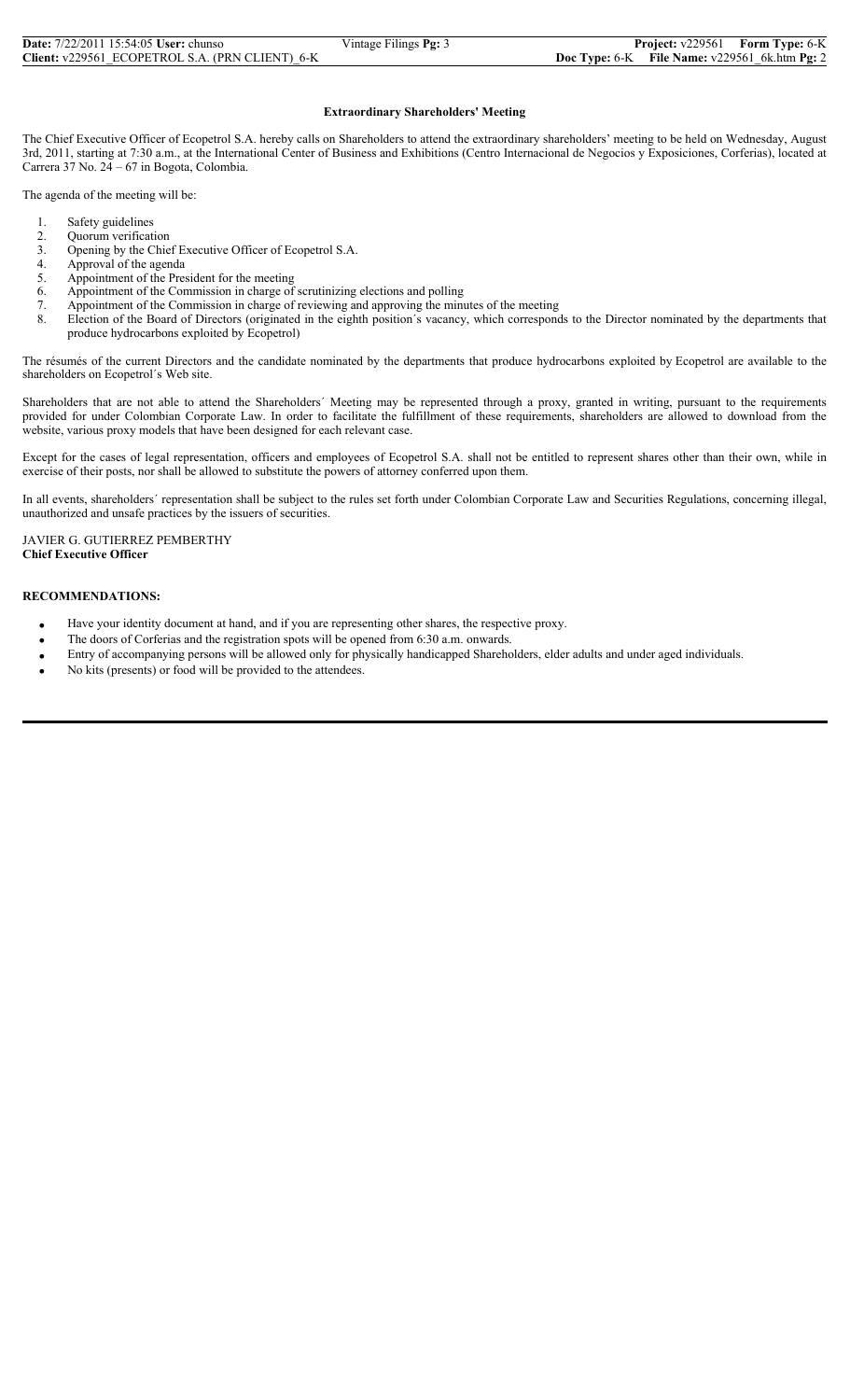| <b>Date:</b> 7/22/2011 15:54:05 User: chunso    | Vintage Filings $Pg: 3$ | <b>Project:</b> v229561                           | <b>Form Type: 6-K</b> |
|-------------------------------------------------|-------------------------|---------------------------------------------------|-----------------------|
| Client: v229561 ECOPETROL S.A. (PRN CLIENT) 6-K |                         | Doc Type: $6-K$ File Name: $v229561$ 6k.htm Pg: 2 |                       |

### **Extraordinary Shareholders' Meeting**

The Chief Executive Officer of Ecopetrol S.A. hereby calls on Shareholders to attend the extraordinary shareholders' meeting to be held on Wednesday, August 3rd, 2011, starting at 7:30 a.m., at the International Center of Business and Exhibitions (Centro Internacional de Negocios y Exposiciones, Corferias), located at Carrera 37 No. 24 – 67 in Bogota, Colombia.

The agenda of the meeting will be:

- Safety guidelines
- 2. Quorum verification<br>3. Opening by the Chie<br>4. Approval of the ager
- Opening by the Chief Executive Officer of Ecopetrol S.A.
- 4. Approval of the agenda<br>5. Appointment of the Pres
- 5. Appointment of the President for the meeting<br>6. Appointment of the Commission in charge of<br>7. Appointment of the Commission in charge of
- Appointment of the Commission in charge of scrutinizing elections and polling
- 7. Appointment of the Commission in charge of reviewing and approving the minutes of the meeting 8. Election of the Board of Directors (originated in the eighth position's vacancy, which correspondent
- Election of the Board of Directors (originated in the eighth position's vacancy, which corresponds to the Director nominated by the departments that produce hydrocarbons exploited by Ecopetrol)

The résumés of the current Directors and the candidate nominated by the departments that produce hydrocarbons exploited by Ecopetrol are available to the shareholders on Ecopetrol´s Web site.

Shareholders that are not able to attend the Shareholders´ Meeting may be represented through a proxy, granted in writing, pursuant to the requirements provided for under Colombian Corporate Law. In order to facilitate the fulfillment of these requirements, shareholders are allowed to download from the website, various proxy models that have been designed for each relevant case.

Except for the cases of legal representation, officers and employees of Ecopetrol S.A. shall not be entitled to represent shares other than their own, while in exercise of their posts, nor shall be allowed to substitute the powers of attorney conferred upon them.

In all events, shareholders´ representation shall be subject to the rules set forth under Colombian Corporate Law and Securities Regulations, concerning illegal, unauthorized and unsafe practices by the issuers of securities.

#### JAVIER G. GUTIERREZ PEMBERTHY **Chief Executive Officer**

#### **RECOMMENDATIONS:**

- Have your identity document at hand, and if you are representing other shares, the respective proxy.
- The doors of Corferias and the registration spots will be opened from 6:30 a.m. onwards.
- Entry of accompanying persons will be allowed only for physically handicapped Shareholders, elder adults and under aged individuals.
- No kits (presents) or food will be provided to the attendees.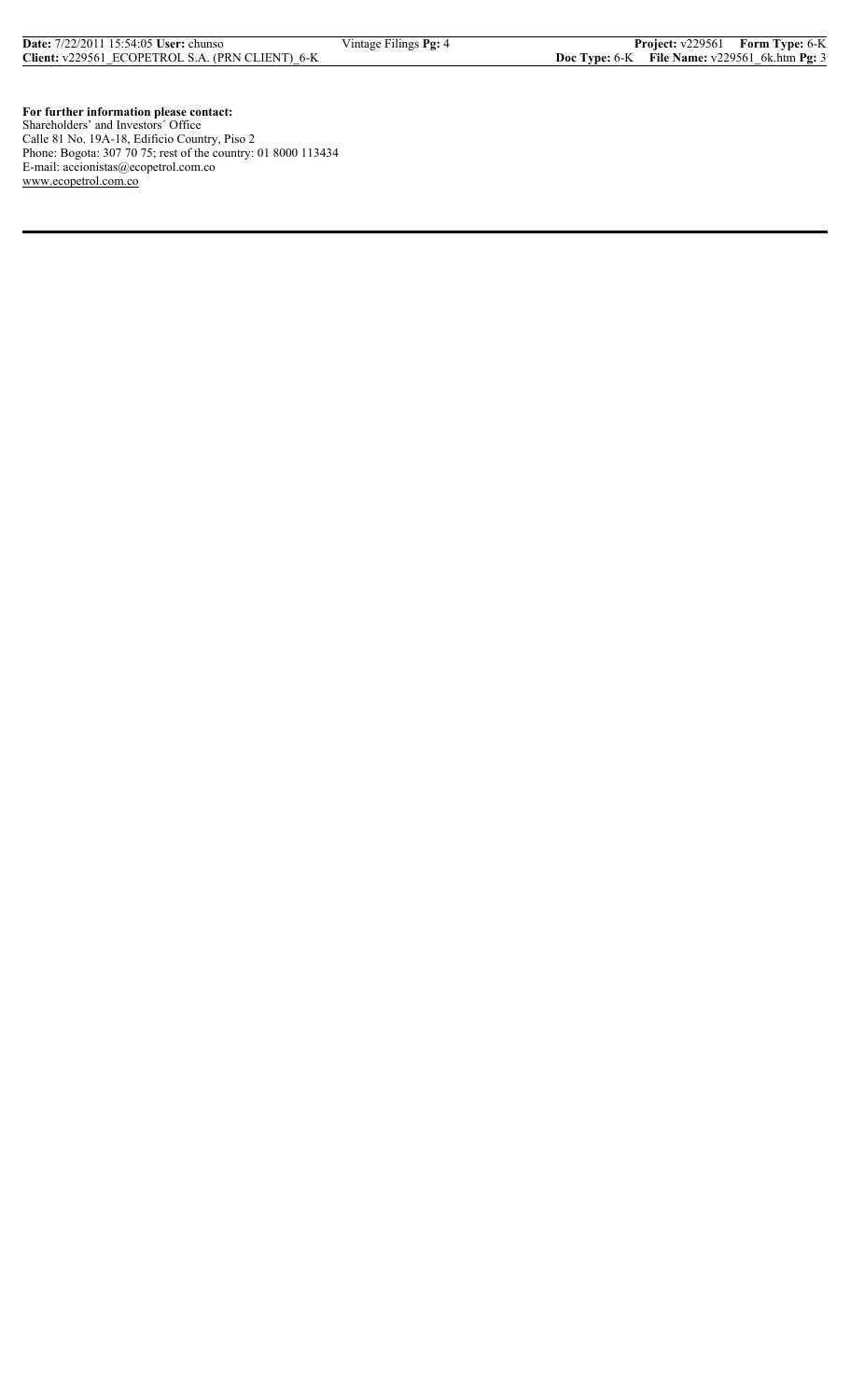**For further information please contact:** Shareholders' and Investors´ Office Calle 81 No. 19A-18, Edificio Country, Piso 2 Phone: Bogota: 307 70 75; rest of the country: 01 8000 113434 E-mail: accionistas@ecopetrol.com.co www.ecopetrol.com.co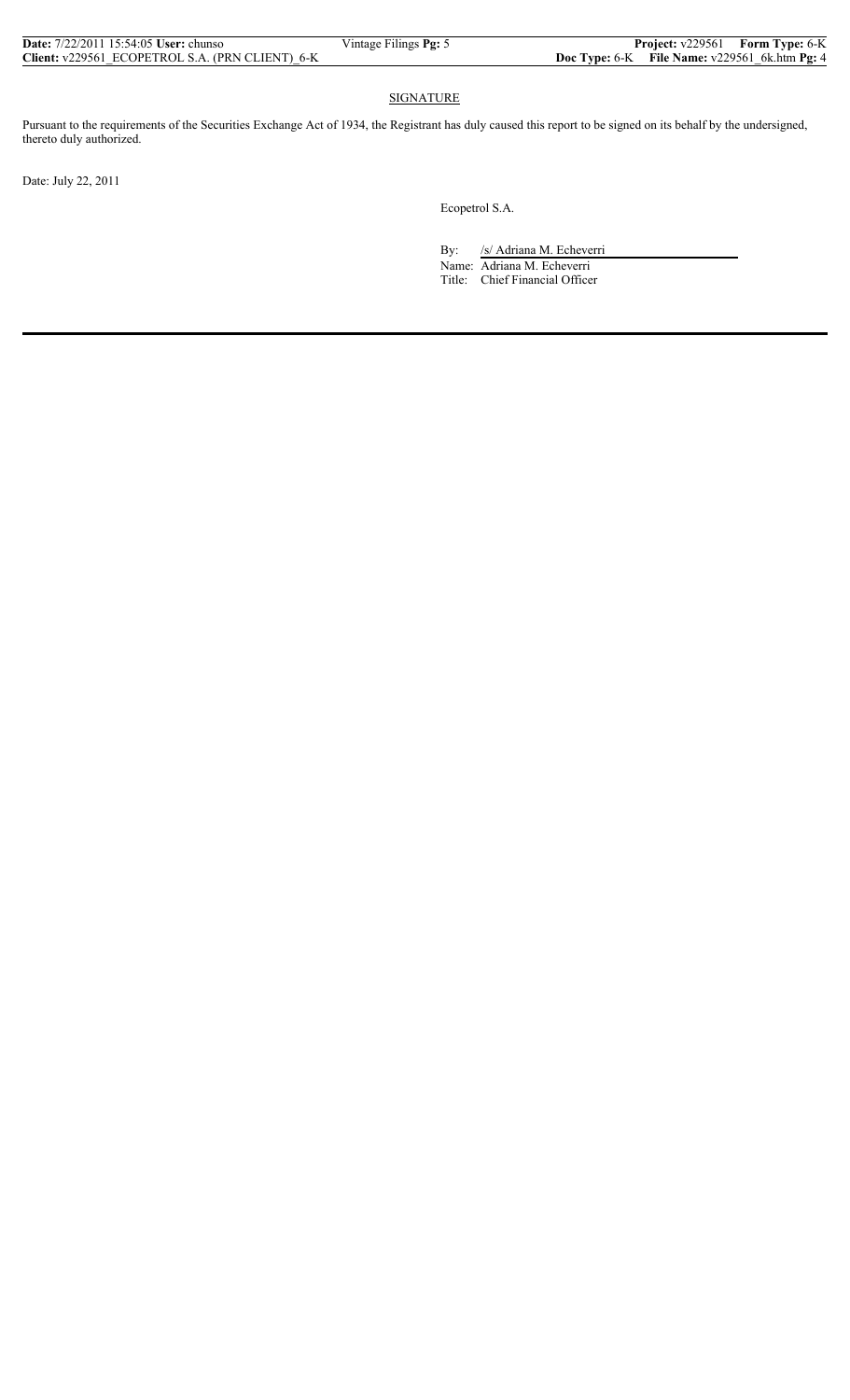| <b>Date:</b> 7/22/2011 15:54:05 <b>User:</b> chunso | Vintage Filings Pg: 5 |                                                        | Project: v229561 Form Type: 6-K |
|-----------------------------------------------------|-----------------------|--------------------------------------------------------|---------------------------------|
| Client: v229561 ECOPETROL S.A. (PRN CLIENT) 6-K     |                       | <b>Doc Type:</b> 6-K File Name: $v229561$ 6k.htm Pg: 4 |                                 |

## **SIGNATURE**

Pursuant to the requirements of the Securities Exchange Act of 1934, the Registrant has duly caused this report to be signed on its behalf by the undersigned, thereto duly authorized.

Date: July 22, 2011

Ecopetrol S.A.

By: /s/ Adriana M. Echeverri

 Name: Adriana M. Echeverri Title: Chief Financial Officer